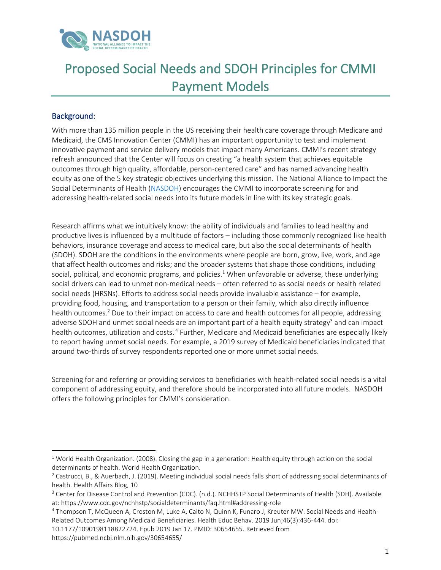

# Proposed Social Needs and SDOH Principles for CMMI Payment Models

# Background:

With more than 135 million people in the US receiving their health care coverage through Medicare and Medicaid, the CMS Innovation Center (CMMI) has an important opportunity to test and implement innovative payment and service delivery models that impact many Americans. CMMI's recent strategy refresh announced that the Center will focus on creating "a health system that achieves equitable outcomes through high quality, affordable, person-centered care" and has named advancing health equity as one of the 5 key strategic objectives underlying this mission. The National Alliance to Impact the Social Determinants of Health [\(NASDOH\)](https://hlthmgt.sharepoint.com/sites/LP-LPCA-DEPT-GENERAL/Alliance%20Docs/.Current%20Clients/NASDOH/Drafts/Deliverables/Publications,%20Policy%20Deliverables,%20Issue%20Briefs/Principles%20to%20CMMI/nasdoh.org) encourages the CMMI to incorporate screening for and addressing health-related social needs into its future models in line with its key strategic goals.

Research affirms what we intuitively know: the ability of individuals and families to lead healthy and productive lives is influenced by a multitude of factors – including those commonly recognized like health behaviors, insurance coverage and access to medical care, but also the social determinants of health (SDOH). SDOH are the conditions in the environments where people are born, grow, live, work, and age that affect health outcomes and risks; and the broader systems that shape those conditions, including social, political, and economic programs, and policies.<sup>1</sup> When unfavorable or adverse, these underlying social drivers can lead to unmet non-medical needs – often referred to as social needs or health related social needs (HRSNs). Efforts to address social needs provide invaluable assistance – for example, providing food, housing, and transportation to a person or their family, which also directly influence health outcomes.<sup>2</sup> Due to their impact on access to care and health outcomes for all people, addressing adverse SDOH and unmet social needs are an important part of a health equity strategy<sup>3</sup> and can impact health outcomes, utilization and costs. <sup>4</sup> Further, Medicare and Medicaid beneficiaries are especially likely to report having unmet social needs. For example, a 2019 survey of Medicaid beneficiaries indicated that around two-thirds of survey respondents reported one or more unmet social needs.

Screening for and referring or providing services to beneficiaries with health-related social needs is a vital component of addressing equity, and therefore should be incorporated into all future models. NASDOH offers the following principles for CMMI's consideration.

10.1177/1090198118822724. Epub 2019 Jan 17. PMID: 30654655. Retrieved from

https://pubmed.ncbi.nlm.nih.gov/30654655/

<sup>&</sup>lt;sup>1</sup> World Health Organization. (2008). Closing the gap in a generation: Health equity through action on the social determinants of health. World Health Organization.

<sup>&</sup>lt;sup>2</sup> Castrucci, B., & Auerbach, J. (2019). Meeting individual social needs falls short of addressing social determinants of health. Health Affairs Blog, 10

<sup>&</sup>lt;sup>3</sup> Center for Disease Control and Prevention (CDC). (n.d.). NCHHSTP Social Determinants of Health (SDH). Available at: https://www.cdc.gov/nchhstp/socialdeterminants/faq.html#addressing-role

<sup>4</sup> Thompson T, McQueen A, Croston M, Luke A, Caito N, Quinn K, Funaro J, Kreuter MW. Social Needs and Health-Related Outcomes Among Medicaid Beneficiaries. Health Educ Behav. 2019 Jun;46(3):436-444. doi: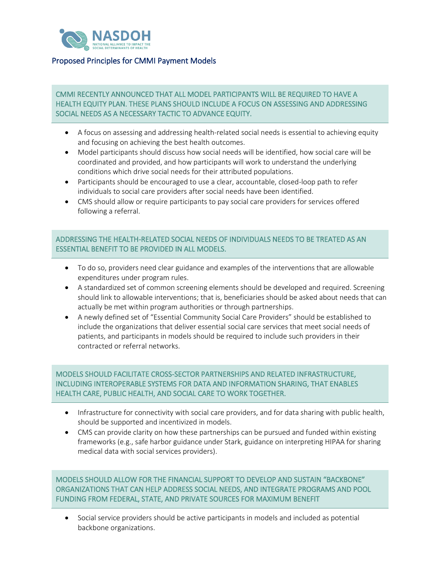

#### Proposed Principles for CMMI Payment Models

#### CMMI RECENTLY ANNOUNCED THAT ALL MODEL PARTICIPANTS WILL BE REQUIRED TO HAVE A HEALTH EQUITY PLAN. THESE PLANS SHOULD INCLUDE A FOCUS ON ASSESSING AND ADDRESSING SOCIAL NEEDS AS A NECESSARY TACTIC TO ADVANCE EQUITY.

- A focus on assessing and addressing health-related social needs is essential to achieving equity and focusing on achieving the best health outcomes.
- Model participants should discuss how social needs will be identified, how social care will be coordinated and provided, and how participants will work to understand the underlying conditions which drive social needs for their attributed populations.
- Participants should be encouraged to use a clear, accountable, closed-loop path to refer individuals to social care providers after social needs have been identified.
- CMS should allow or require participants to pay social care providers for services offered following a referral.

## ADDRESSING THE HEALTH-RELATED SOCIAL NEEDS OF INDIVIDUALS NEEDS TO BE TREATED AS AN ESSENTIAL BENEFIT TO BE PROVIDED IN ALL MODELS.

- To do so, providers need clear guidance and examples of the interventions that are allowable expenditures under program rules.
- A standardized set of common screening elements should be developed and required. Screening should link to allowable interventions; that is, beneficiaries should be asked about needs that can actually be met within program authorities or through partnerships.
- A newly defined set of "Essential Community Social Care Providers" should be established to include the organizations that deliver essential social care services that meet social needs of patients, and participants in models should be required to include such providers in their contracted or referral networks.

## MODELS SHOULD FACILITATE CROSS-SECTOR PARTNERSHIPS AND RELATED INFRASTRUCTURE, INCLUDING INTEROPERABLE SYSTEMS FOR DATA AND INFORMATION SHARING, THAT ENABLES HEALTH CARE, PUBLIC HEALTH, AND SOCIAL CARE TO WORK TOGETHER.

- Infrastructure for connectivity with social care providers, and for data sharing with public health, should be supported and incentivized in models.
- CMS can provide clarity on how these partnerships can be pursued and funded within existing frameworks (e.g., safe harbor guidance under Stark, guidance on interpreting HIPAA for sharing medical data with social services providers).

MODELS SHOULD ALLOW FOR THE FINANCIAL SUPPORT TO DEVELOP AND SUSTAIN "BACKBONE" ORGANIZATIONS THAT CAN HELP ADDRESS SOCIAL NEEDS, AND INTEGRATE PROGRAMS AND POOL FUNDING FROM FEDERAL, STATE, AND PRIVATE SOURCES FOR MAXIMUM BENEFIT

• Social service providers should be active participants in models and included as potential backbone organizations.